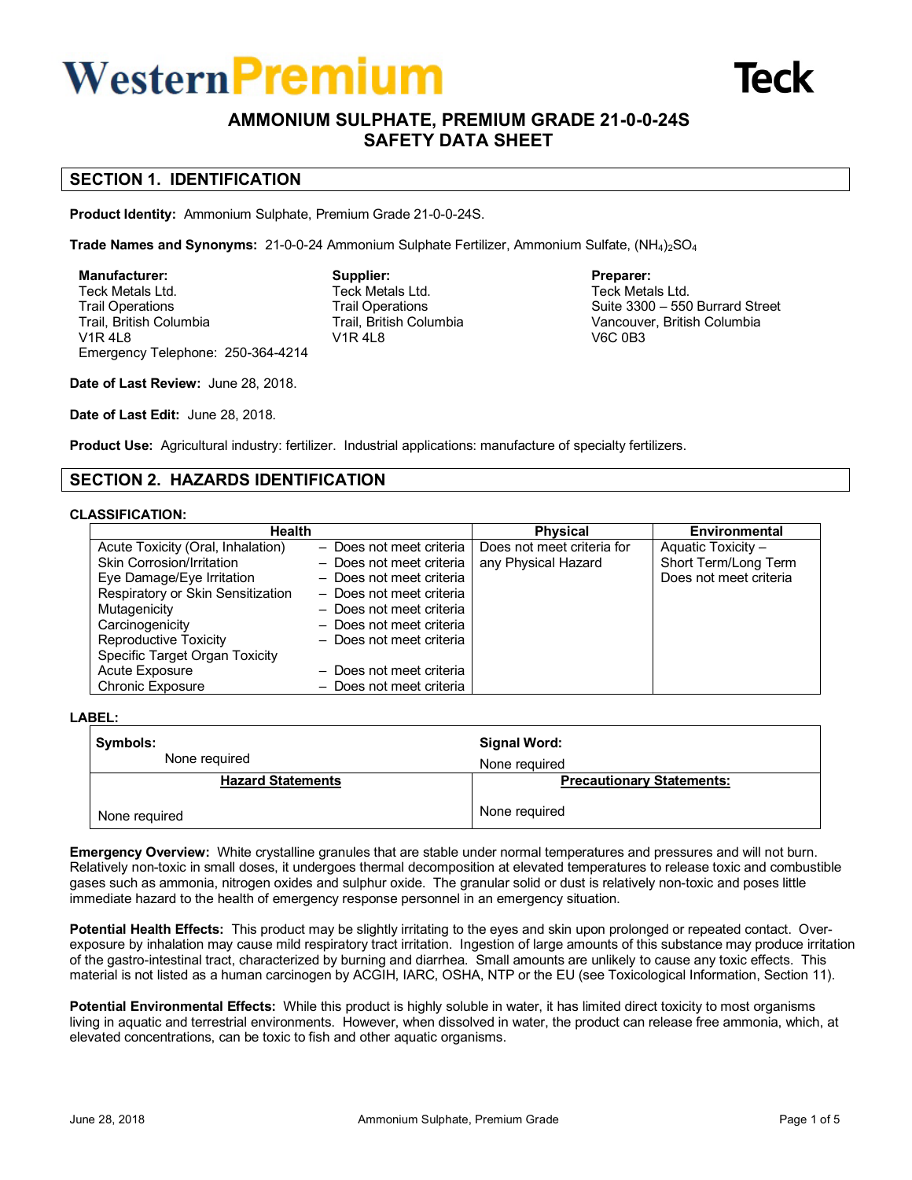# Western **Premium**



# **AMMONIUM SULPHATE, PREMIUM GRADE 21-0-0-24S SAFETY DATA SHEET**

# **SECTION 1. IDENTIFICATION**

**Product Identity:** Ammonium Sulphate, Premium Grade 21-0-0-24S.

**Trade Names and Synonyms:** 21-0-0-24 Ammonium Sulphate Fertilizer, Ammonium Sulfate, (NH<sub>4</sub>)<sub>2</sub>SO<sub>4</sub>

**Manufacturer:** Teck Metals Ltd. Trail Operations Trail, British Columbia V1R 4L8 Emergency Telephone: 250-364-4214 **Supplier:** Teck Metals Ltd. Trail Operations Trail, British Columbia V1R 4L8

#### **Preparer:** Teck Metals Ltd. Suite 3300 – 550 Burrard Street Vancouver, British Columbia V6C 0B3

**Date of Last Review:** June 28, 2018.

**Date of Last Edit:** June 28, 2018.

**Product Use:** Agricultural industry: fertilizer. Industrial applications: manufacture of specialty fertilizers.

# **SECTION 2. HAZARDS IDENTIFICATION**

### **CLASSIFICATION:**

| <b>Health</b>                     |                          | <b>Physical</b>            | Environmental          |
|-----------------------------------|--------------------------|----------------------------|------------------------|
| Acute Toxicity (Oral, Inhalation) | - Does not meet criteria | Does not meet criteria for | Aquatic Toxicity -     |
| Skin Corrosion/Irritation         | - Does not meet criteria | any Physical Hazard        | Short Term/Long Term   |
| Eye Damage/Eye Irritation         | - Does not meet criteria |                            | Does not meet criteria |
| Respiratory or Skin Sensitization | - Does not meet criteria |                            |                        |
| Mutagenicity                      | - Does not meet criteria |                            |                        |
| Carcinogenicity                   | - Does not meet criteria |                            |                        |
| <b>Reproductive Toxicity</b>      | - Does not meet criteria |                            |                        |
| Specific Target Organ Toxicity    |                          |                            |                        |
| Acute Exposure                    | - Does not meet criteria |                            |                        |
| <b>Chronic Exposure</b>           | - Does not meet criteria |                            |                        |

## **LABEL:**

| Symbols:<br>None required |               | Signal Word:<br>None required |  |
|---------------------------|---------------|-------------------------------|--|
|                           |               |                               |  |
|                           | None required | None required                 |  |

**Emergency Overview:** White crystalline granules that are stable under normal temperatures and pressures and will not burn. Relatively non-toxic in small doses, it undergoes thermal decomposition at elevated temperatures to release toxic and combustible gases such as ammonia, nitrogen oxides and sulphur oxide. The granular solid or dust is relatively non-toxic and poses little immediate hazard to the health of emergency response personnel in an emergency situation.

**Potential Health Effects:** This product may be slightly irritating to the eyes and skin upon prolonged or repeated contact. Overexposure by inhalation may cause mild respiratory tract irritation. Ingestion of large amounts of this substance may produce irritation of the gastro-intestinal tract, characterized by burning and diarrhea. Small amounts are unlikely to cause any toxic effects. This material is not listed as a human carcinogen by ACGIH, IARC, OSHA, NTP or the EU (see Toxicological Information, Section 11).

**Potential Environmental Effects:** While this product is highly soluble in water, it has limited direct toxicity to most organisms living in aquatic and terrestrial environments. However, when dissolved in water, the product can release free ammonia, which, at elevated concentrations, can be toxic to fish and other aquatic organisms.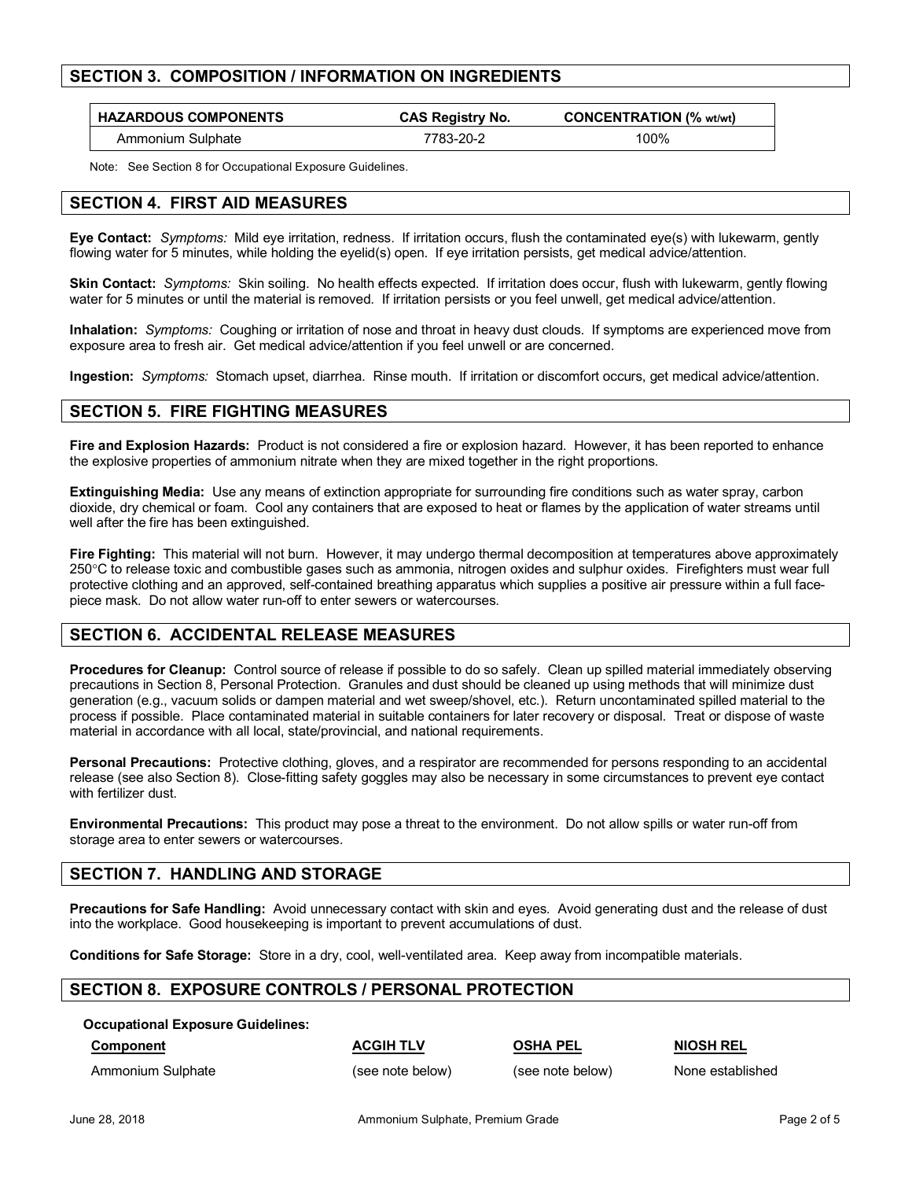# **SECTION 3. COMPOSITION / INFORMATION ON INGREDIENTS**

| <b>HAZARDOUS COMPONENTS</b> | <b>CAS Registry No.</b> | <b>CONCENTRATION (% wt/wt)</b> |
|-----------------------------|-------------------------|--------------------------------|
| Ammonium Sulphate           | 7783-20-2               | 00%ا                           |

Note: See Section 8 for Occupational Exposure Guidelines.

## **SECTION 4. FIRST AID MEASURES**

**Eye Contact:** *Symptoms:* Mild eye irritation, redness. If irritation occurs, flush the contaminated eye(s) with lukewarm, gently flowing water for 5 minutes, while holding the eyelid(s) open. If eye irritation persists, get medical advice/attention.

**Skin Contact:** *Symptoms:* Skin soiling. No health effects expected. If irritation does occur, flush with lukewarm, gently flowing water for 5 minutes or until the material is removed. If irritation persists or you feel unwell, get medical advice/attention.

**Inhalation:** *Symptoms:* Coughing or irritation of nose and throat in heavy dust clouds. If symptoms are experienced move from exposure area to fresh air. Get medical advice/attention if you feel unwell or are concerned.

**Ingestion:** *Symptoms:* Stomach upset, diarrhea. Rinse mouth. If irritation or discomfort occurs, get medical advice/attention.

# **SECTION 5. FIRE FIGHTING MEASURES**

**Fire and Explosion Hazards:** Product is not considered a fire or explosion hazard. However, it has been reported to enhance the explosive properties of ammonium nitrate when they are mixed together in the right proportions.

**Extinguishing Media:** Use any means of extinction appropriate for surrounding fire conditions such as water spray, carbon dioxide, dry chemical or foam. Cool any containers that are exposed to heat or flames by the application of water streams until well after the fire has been extinguished.

**Fire Fighting:** This material will not burn. However, it may undergo thermal decomposition at temperatures above approximately 250°C to release toxic and combustible gases such as ammonia, nitrogen oxides and sulphur oxides. Firefighters must wear full protective clothing and an approved, self-contained breathing apparatus which supplies a positive air pressure within a full facepiece mask. Do not allow water run-off to enter sewers or watercourses.

# **SECTION 6. ACCIDENTAL RELEASE MEASURES**

**Procedures for Cleanup:** Control source of release if possible to do so safely. Clean up spilled material immediately observing precautions in Section 8, Personal Protection. Granules and dust should be cleaned up using methods that will minimize dust generation (e.g., vacuum solids or dampen material and wet sweep/shovel, etc.). Return uncontaminated spilled material to the process if possible. Place contaminated material in suitable containers for later recovery or disposal. Treat or dispose of waste material in accordance with all local, state/provincial, and national requirements.

**Personal Precautions:** Protective clothing, gloves, and a respirator are recommended for persons responding to an accidental release (see also Section 8). Close-fitting safety goggles may also be necessary in some circumstances to prevent eye contact with fertilizer dust.

**Environmental Precautions:** This product may pose a threat to the environment. Do not allow spills or water run-off from storage area to enter sewers or watercourses.

## **SECTION 7. HANDLING AND STORAGE**

**Precautions for Safe Handling:** Avoid unnecessary contact with skin and eyes. Avoid generating dust and the release of dust into the workplace. Good housekeeping is important to prevent accumulations of dust.

**Conditions for Safe Storage:** Store in a dry, cool, well-ventilated area. Keep away from incompatible materials.

## **SECTION 8. EXPOSURE CONTROLS / PERSONAL PROTECTION**

**Occupational Exposure Guidelines:**

Ammonium Sulphate (see note below) (see note below) None established

**Component ACGIH TLV OSHA PEL NIOSH REL**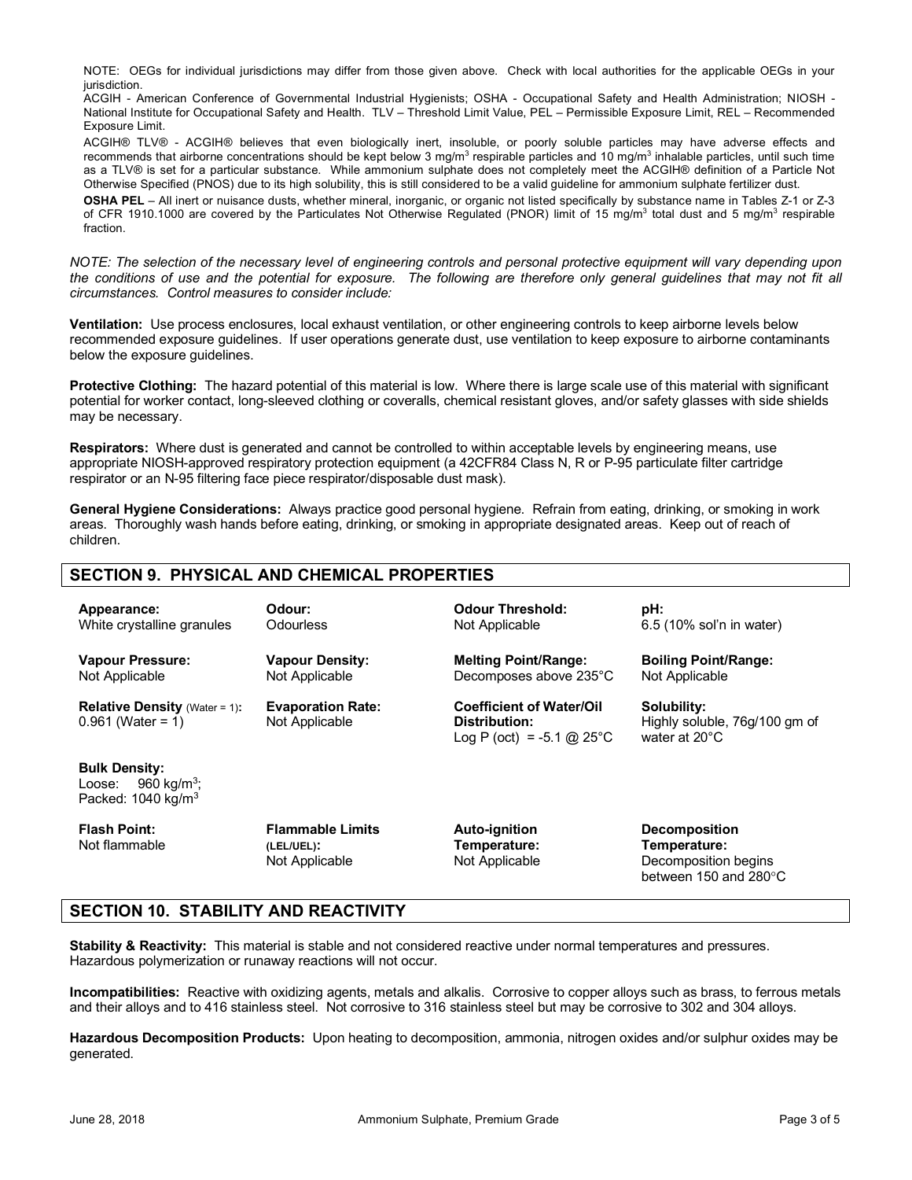NOTE: OEGs for individual jurisdictions may differ from those given above. Check with local authorities for the applicable OEGs in your jurisdiction.

ACGIH - American Conference of Governmental Industrial Hygienists; OSHA - Occupational Safety and Health Administration; NIOSH - National Institute for Occupational Safety and Health. TLV – Threshold Limit Value, PEL – Permissible Exposure Limit, REL – Recommended Exposure Limit.

ACGIH® TLV® - ACGIH® believes that even biologically inert, insoluble, or poorly soluble particles may have adverse effects and recommends that airborne concentrations should be kept below 3 mg/m<sup>3</sup> respirable particles and 10 mg/m<sup>3</sup> inhalable particles, until such time as a TLV® is set for a particular substance. While ammonium sulphate does not completely meet the ACGIH® definition of a Particle Not Otherwise Specified (PNOS) due to its high solubility, this is still considered to be a valid guideline for ammonium sulphate fertilizer dust.

**OSHA PEL** – All inert or nuisance dusts, whether mineral, inorganic, or organic not listed specifically by substance name in Tables Z-1 or Z-3 of CFR 1910.1000 are covered by the Particulates Not Otherwise Regulated (PNOR) limit of 15 mg/m<sup>3</sup> total dust and 5 mg/m<sup>3</sup> respirable fraction.

*NOTE: The selection of the necessary level of engineering controls and personal protective equipment will vary depending upon the conditions of use and the potential for exposure. The following are therefore only general guidelines that may not fit all circumstances. Control measures to consider include:*

**Ventilation:** Use process enclosures, local exhaust ventilation, or other engineering controls to keep airborne levels below recommended exposure guidelines. If user operations generate dust, use ventilation to keep exposure to airborne contaminants below the exposure quidelines.

**Protective Clothing:** The hazard potential of this material is low. Where there is large scale use of this material with significant potential for worker contact, long-sleeved clothing or coveralls, chemical resistant gloves, and/or safety glasses with side shields may be necessary.

**Respirators:** Where dust is generated and cannot be controlled to within acceptable levels by engineering means, use appropriate NIOSH-approved respiratory protection equipment (a 42CFR84 Class N, R or P-95 particulate filter cartridge respirator or an N-95 filtering face piece respirator/disposable dust mask).

**General Hygiene Considerations:** Always practice good personal hygiene. Refrain from eating, drinking, or smoking in work areas. Thoroughly wash hands before eating, drinking, or smoking in appropriate designated areas. Keep out of reach of children.

# **SECTION 9. PHYSICAL AND CHEMICAL PROPERTIES**

| Appearance:<br>White crystalline granules                                                  | Odour:<br><b>Odourless</b>                 | <b>Odour Threshold:</b><br>Not Applicable                                      | pH:<br>6.5 (10% sol'n in water)                               |
|--------------------------------------------------------------------------------------------|--------------------------------------------|--------------------------------------------------------------------------------|---------------------------------------------------------------|
| <b>Vapour Pressure:</b><br>Not Applicable                                                  | <b>Vapour Density:</b><br>Not Applicable   | <b>Melting Point/Range:</b><br>Decomposes above 235°C                          | <b>Boiling Point/Range:</b><br>Not Applicable                 |
| <b>Relative Density</b> (Water = 1):<br>$0.961$ (Water = 1)                                | <b>Evaporation Rate:</b><br>Not Applicable | <b>Coefficient of Water/Oil</b><br>Distribution:<br>Log P (oct) = -5.1 @ 25 °C | Solubility:<br>Highly soluble, 76g/100 gm of<br>water at 20°C |
| <b>Bulk Density:</b><br>960 kg/m <sup>3</sup> ;<br>Loose:<br>Packed: $1040 \text{ kg/m}^3$ |                                            |                                                                                |                                                               |
| <b>Flash Point:</b>                                                                        | <b>Flammable Limits</b>                    | Auto-ianition                                                                  | <b>Decomposition</b>                                          |

Not flammable

**Flammable Limits (LEL/UEL):** Not Applicable

**Auto-ignition Temperature:** Not Applicable **Decomposition Temperature:** Decomposition begins between 150 and 280°C

# **SECTION 10. STABILITY AND REACTIVITY**

**Stability & Reactivity:** This material is stable and not considered reactive under normal temperatures and pressures. Hazardous polymerization or runaway reactions will not occur.

**Incompatibilities:** Reactive with oxidizing agents, metals and alkalis. Corrosive to copper alloys such as brass, to ferrous metals and their alloys and to 416 stainless steel. Not corrosive to 316 stainless steel but may be corrosive to 302 and 304 alloys.

**Hazardous Decomposition Products:** Upon heating to decomposition, ammonia, nitrogen oxides and/or sulphur oxides may be generated.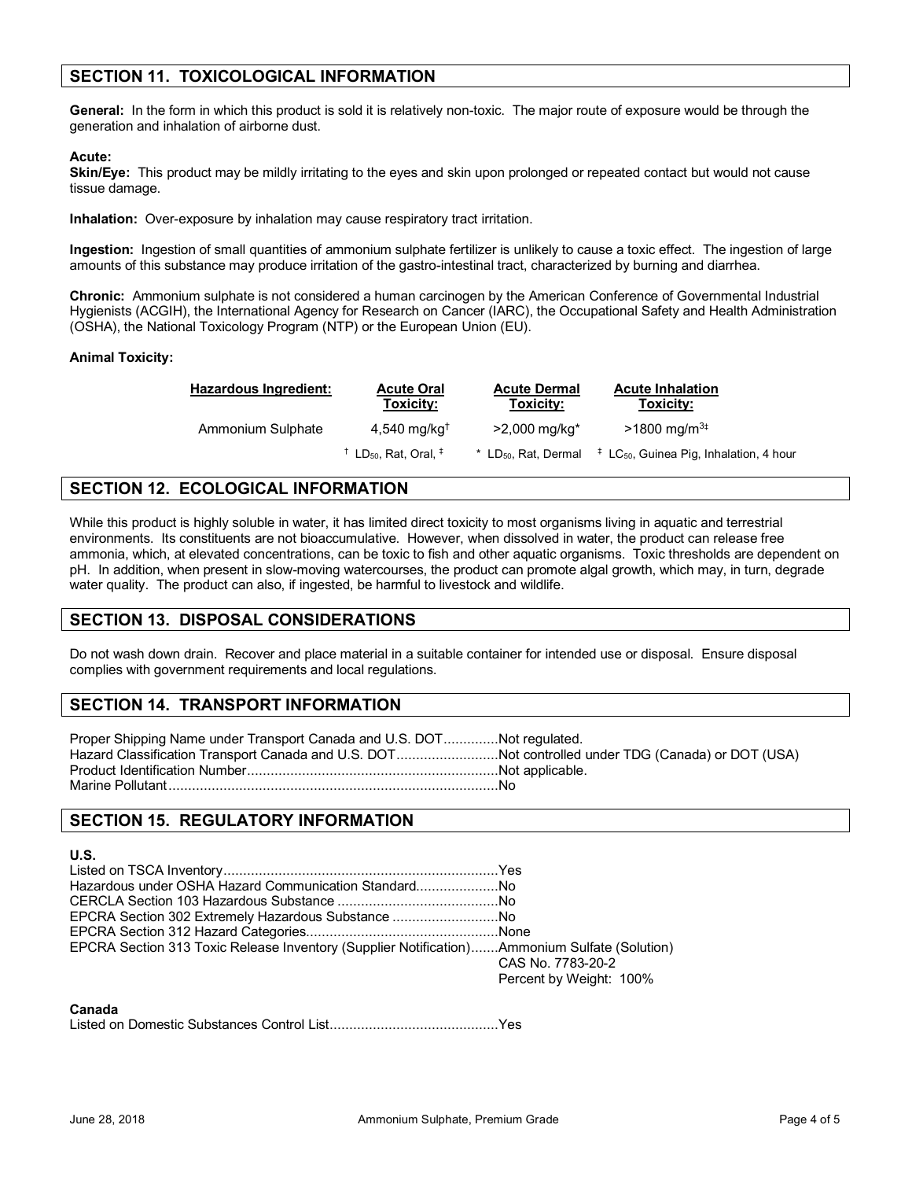# **SECTION 11. TOXICOLOGICAL INFORMATION**

**General:** In the form in which this product is sold it is relatively non-toxic. The major route of exposure would be through the generation and inhalation of airborne dust.

### **Acute:**

Skin/Eye: This product may be mildly irritating to the eyes and skin upon prolonged or repeated contact but would not cause tissue damage.

**Inhalation:** Over-exposure by inhalation may cause respiratory tract irritation.

**Ingestion:** Ingestion of small quantities of ammonium sulphate fertilizer is unlikely to cause a toxic effect. The ingestion of large amounts of this substance may produce irritation of the gastro-intestinal tract, characterized by burning and diarrhea.

**Chronic:** Ammonium sulphate is not considered a human carcinogen by the American Conference of Governmental Industrial Hygienists (ACGIH), the International Agency for Research on Cancer (IARC), the Occupational Safety and Health Administration (OSHA), the National Toxicology Program (NTP) or the European Union (EU).

## **Animal Toxicity:**

| Hazardous Ingredient: | <b>Acute Oral</b><br>Toxicity:                           | <b>Acute Dermal</b><br>Toxicity:   | <b>Acute Inhalation</b><br>Toxicity:                         |
|-----------------------|----------------------------------------------------------|------------------------------------|--------------------------------------------------------------|
| Ammonium Sulphate     | $4,540$ mg/kg <sup>t</sup>                               | $>2,000 \text{ mq/kg}^*$           | $>1800 \text{ mg/m}^{3}$                                     |
|                       | $^{\dagger}$ LD <sub>50</sub> , Rat, Oral, $^{\ddagger}$ | $*$ LD <sub>50</sub> , Rat, Dermal | $\ddagger$ LC <sub>50</sub> , Guinea Pig, Inhalation, 4 hour |

# **SECTION 12. ECOLOGICAL INFORMATION**

While this product is highly soluble in water, it has limited direct toxicity to most organisms living in aquatic and terrestrial environments. Its constituents are not bioaccumulative. However, when dissolved in water, the product can release free ammonia, which, at elevated concentrations, can be toxic to fish and other aquatic organisms. Toxic thresholds are dependent on pH. In addition, when present in slow-moving watercourses, the product can promote algal growth, which may, in turn, degrade water quality. The product can also, if ingested, be harmful to livestock and wildlife.

## **SECTION 13. DISPOSAL CONSIDERATIONS**

Do not wash down drain. Recover and place material in a suitable container for intended use or disposal. Ensure disposal complies with government requirements and local regulations.

# **SECTION 14. TRANSPORT INFORMATION**

Proper Shipping Name under Transport Canada and U.S. DOT..............Not regulated. Hazard Classification Transport Canada and U.S. DOT..........................Not controlled under TDG (Canada) or DOT (USA) Product Identification Number................................................................Not applicable. Marine Pollutant....................................................................................No

# **SECTION 15. REGULATORY INFORMATION**

## **U.S.**

| Hazardous under OSHA Hazard Communication StandardNo                                         |                                              |
|----------------------------------------------------------------------------------------------|----------------------------------------------|
|                                                                                              |                                              |
| EPCRA Section 302 Extremely Hazardous Substance No                                           |                                              |
|                                                                                              |                                              |
| EPCRA Section 313 Toxic Release Inventory (Supplier Notification)Ammonium Sulfate (Solution) | CAS No. 7783-20-2<br>Percent by Weight: 100% |

#### **Canada**

Listed on Domestic Substances Control List...........................................Yes